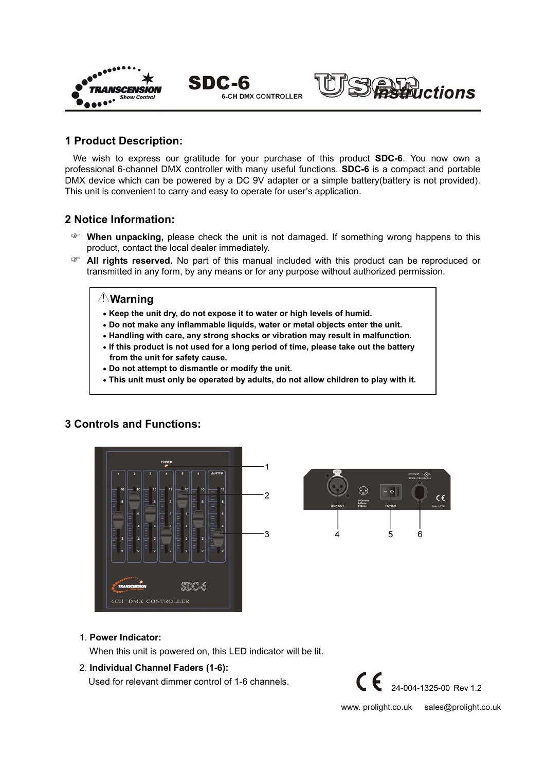



## **1 Product Description:**

We wish to express our gratitude for your purchase of this product **SDC-6**. You now own a professional 6-channel DMX controller with many useful functions. **SDC-6** is a compact and portable DMX device which can be powered by a DC 9V adapter or a simple battery(battery is not provided). This unit is convenient to carry and easy to operate for user's application.

**6-CH DMX CONTROLLER** 

# **2 Notice Information:**

- ) **When unpacking,** please check the unit is not damaged. If something wrong happens to this product, contact the local dealer immediately.
- ) **All rights reserved.** No part of this manual included with this product can be reproduced or transmitted in any form, by any means or for any purpose without authorized permission.

# **Warning**

• **Keep the unit dry, do not expose it to water or high levels of humid.**

SDC-6

- **Do not make any inflammable liquids, water or metal objects enter the unit.**
- **Handling with care, any strong shocks or vibration may result in malfunction.**
- **If this product is not used for a long period of time, please take out the battery from the unit for safety cause.**
- **Do not attempt to dismantle or modify the unit.**
- **This unit must only be operated by adults, do not allow children to play with it.**

# **3 Controls and Functions:**





#### 1. **Power Indicator:**

When this unit is powered on, this LED indicator will be lit.

#### 2. **Individual Channel Faders (1-6):**